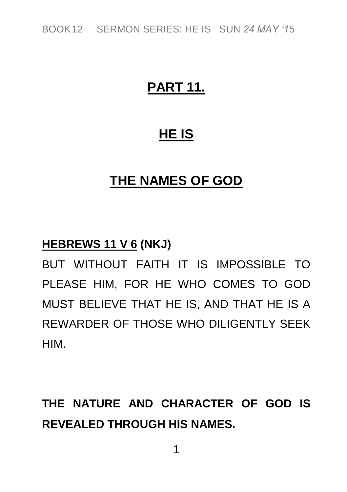*BOOK12 SERMON SERIES: HE IS SUN 24 MAY '15*

### **PART 11.**

### **HE IS**

### **THE NAMES OF GOD**

#### **HEBREWS 11 V 6 (NKJ)**

*BUT WITHOUT FAITH IT IS IMPOSSIBLE TO PLEASE HIM, FOR HE WHO COMES TO GOD MUST BELIEVE THAT HE IS, AND THAT HE IS A REWARDER OF THOSE WHO DILIGENTLY SEEK HIM.*

**THE NATURE AND CHARACTER OF GOD IS REVEALED THROUGH HIS NAMES.**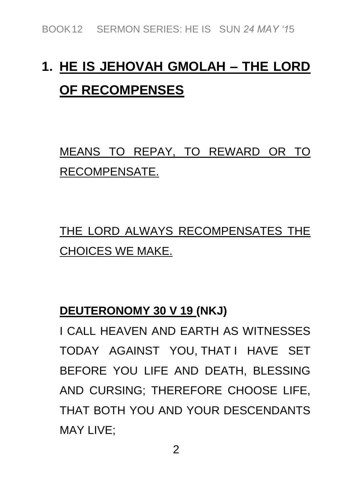# **1. HE IS JEHOVAH GMOLAH – THE LORD OF RECOMPENSES**

## *MEANS TO REPAY, TO REWARD OR TO RECOMPENSATE.*

*THE LORD ALWAYS RECOMPENSATES THE CHOICES WE MAKE.*

#### **DEUTERONOMY 30 V 19 (NKJ)**

*I CALL HEAVEN AND EARTH AS WITNESSES TODAY AGAINST YOU, THAT I HAVE SET BEFORE YOU LIFE AND DEATH, BLESSING AND CURSING; THEREFORE CHOOSE LIFE, THAT BOTH YOU AND YOUR DESCENDANTS MAY LIVE;*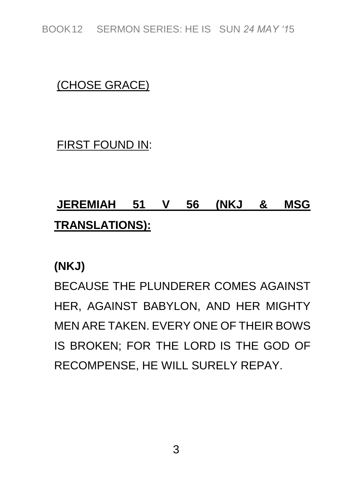*BOOK12 SERMON SERIES: HE IS SUN 24 MAY '15*

#### *(CHOSE GRACE)*

*FIRST FOUND IN:*

## **JEREMIAH 51 V 56 (NKJ & MSG TRANSLATIONS):**

**(NKJ)**

*BECAUSE THE PLUNDERER COMES AGAINST HER, AGAINST BABYLON, AND HER MIGHTY MEN ARE TAKEN. EVERY ONE OF THEIR BOWS IS BROKEN; FOR THE LORD IS THE GOD OF RECOMPENSE, HE WILL SURELY REPAY.*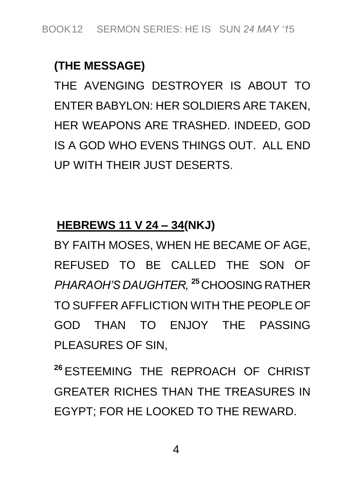#### **(THE MESSAGE)**

*THE AVENGING DESTROYER IS ABOUT TO ENTER BABYLON: HER SOLDIERS ARE TAKEN, HER WEAPONS ARE TRASHED. INDEED, GOD IS A GOD WHO EVENS THINGS OUT. ALL END UP WITH THEIR JUST DESERTS.*

#### **HEBREWS 11 V 24 – 34(NKJ)**

*BY FAITH MOSES, WHEN HE BECAME OF AGE, REFUSED TO BE CALLED THE SON OF PHARAOH'S DAUGHTER,* **<sup>25</sup>** *CHOOSING RATHER TO SUFFER AFFLICTION WITH THE PEOPLE OF GOD THAN TO ENJOY THE PASSING PLEASURES OF SIN,*

**<sup>26</sup>** *ESTEEMING THE REPROACH OF CHRIST GREATER RICHES THAN THE TREASURES IN EGYPT; FOR HE LOOKED TO THE REWARD.*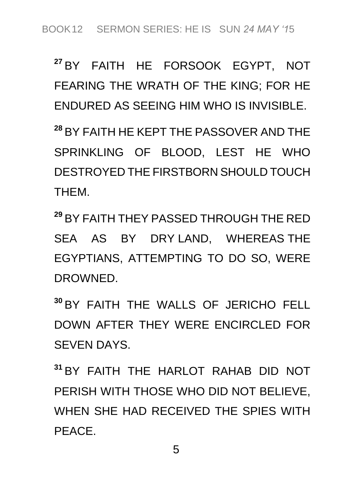**<sup>27</sup>** *BY FAITH HE FORSOOK EGYPT, NOT FEARING THE WRATH OF THE KING; FOR HE ENDURED AS SEEING HIM WHO IS INVISIBLE.*

**<sup>28</sup>** *BY FAITH HE KEPT THE PASSOVER AND THE SPRINKLING OF BLOOD, LEST HE WHO DESTROYED THE FIRSTBORN SHOULD TOUCH THEM.*

**<sup>29</sup>** *BY FAITH THEY PASSED THROUGH THE RED SEA AS BY DRY LAND, WHEREAS THE EGYPTIANS, ATTEMPTING TO DO SO, WERE DROWNED.* 

**<sup>30</sup>** *BY FAITH THE WALLS OF JERICHO FELL DOWN AFTER THEY WERE ENCIRCLED FOR SEVEN DAYS.*

**<sup>31</sup>** *BY FAITH THE HARLOT RAHAB DID NOT PERISH WITH THOSE WHO DID NOT BELIEVE, WHEN SHE HAD RECEIVED THE SPIES WITH PEACE.*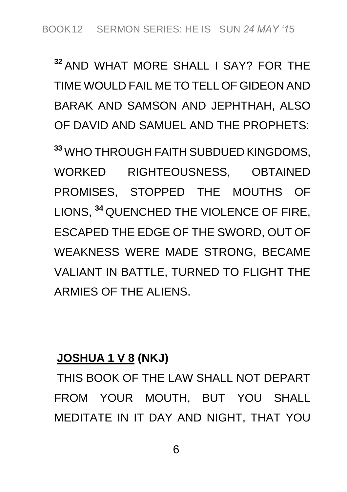**<sup>32</sup>** *AND WHAT MORE SHALL I SAY? FOR THE TIME WOULD FAIL ME TO TELL OF GIDEON AND BARAK AND SAMSON AND JEPHTHAH, ALSO OF DAVID AND SAMUEL AND THE PROPHETS:*

**<sup>33</sup>** *WHO THROUGH FAITH SUBDUED KINGDOMS, WORKED RIGHTEOUSNESS, OBTAINED PROMISES, STOPPED THE MOUTHS OF LIONS,* **<sup>34</sup>** *QUENCHED THE VIOLENCE OF FIRE, ESCAPED THE EDGE OF THE SWORD, OUT OF WEAKNESS WERE MADE STRONG, BECAME VALIANT IN BATTLE, TURNED TO FLIGHT THE ARMIES OF THE ALIENS.*

#### **JOSHUA 1 V 8 (NKJ)**

*THIS BOOK OF THE LAW SHALL NOT DEPART FROM YOUR MOUTH, BUT YOU SHALL MEDITATE IN IT DAY AND NIGHT, THAT YOU*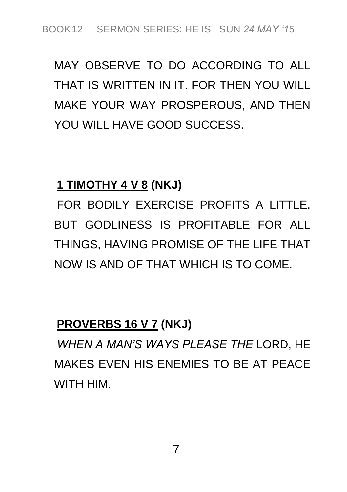## *MAY OBSERVE TO DO ACCORDING TO ALL THAT IS WRITTEN IN IT. FOR THEN YOU WILL MAKE YOUR WAY PROSPEROUS, AND THEN YOU WILL HAVE GOOD SUCCESS.*

#### **1 TIMOTHY 4 V 8 (NKJ)**

*FOR BODILY EXERCISE PROFITS A LITTLE, BUT GODLINESS IS PROFITABLE FOR ALL THINGS, HAVING PROMISE OF THE LIFE THAT NOW IS AND OF THAT WHICH IS TO COME.*

#### **PROVERBS 16 V 7 (NKJ)**

*WHEN A MAN'S WAYS PLEASE THE LORD, HE MAKES EVEN HIS ENEMIES TO BE AT PEACE WITH HIM.*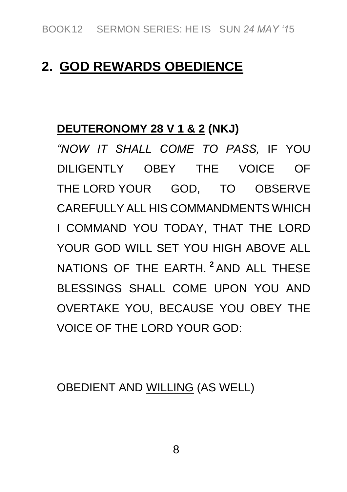#### **2. GOD REWARDS OBEDIENCE**

#### **DEUTERONOMY 28 V 1 & 2 (NKJ)**

*"NOW IT SHALL COME TO PASS, IF YOU DILIGENTLY OBEY THE VOICE OF THE LORD YOUR GOD, TO OBSERVE CAREFULLY ALL HIS COMMANDMENTS WHICH I COMMAND YOU TODAY, THAT THE LORD YOUR GOD WILL SET YOU HIGH ABOVE ALL NATIONS OF THE EARTH.* **<sup>2</sup>** *AND ALL THESE BLESSINGS SHALL COME UPON YOU AND OVERTAKE YOU, BECAUSE YOU OBEY THE VOICE OF THE LORD YOUR GOD:*

*OBEDIENT AND WILLING (AS WELL)*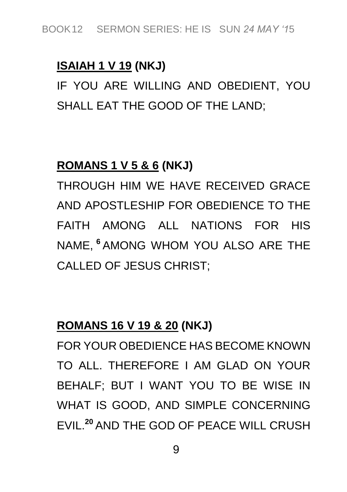#### **ISAIAH 1 V 19 (NKJ)**

*IF YOU ARE WILLING AND OBEDIENT, YOU SHALL EAT THE GOOD OF THE LAND;*

#### **ROMANS 1 V 5 & 6 (NKJ)**

*THROUGH HIM WE HAVE RECEIVED GRACE AND APOSTLESHIP FOR OBEDIENCE TO THE FAITH AMONG ALL NATIONS FOR HIS NAME,* **<sup>6</sup>** *AMONG WHOM YOU ALSO ARE THE CALLED OF JESUS CHRIST;*

#### **ROMANS 16 V 19 & 20 (NKJ)**

*FOR YOUR OBEDIENCE HAS BECOME KNOWN TO ALL. THEREFORE I AM GLAD ON YOUR BEHALF; BUT I WANT YOU TO BE WISE IN WHAT IS GOOD, AND SIMPLE CONCERNING EVIL.***<sup>20</sup>** *AND THE GOD OF PEACE WILL CRUSH*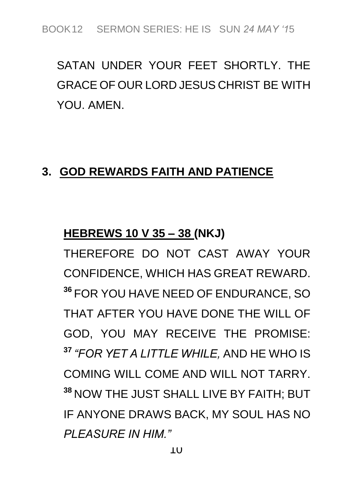*SATAN UNDER YOUR FEET SHORTLY. THE GRACE OF OUR LORD JESUS CHRIST BE WITH YOU. AMEN.*

#### **3. GOD REWARDS FAITH AND PATIENCE**

#### **HEBREWS 10 V 35 – 38 (NKJ)**

*THEREFORE DO NOT CAST AWAY YOUR CONFIDENCE, WHICH HAS GREAT REWARD.*  **<sup>36</sup>** *FOR YOU HAVE NEED OF ENDURANCE, SO THAT AFTER YOU HAVE DONE THE WILL OF GOD, YOU MAY RECEIVE THE PROMISE:*  **<sup>37</sup>** *"FOR YET A LITTLE WHILE, AND HE WHO IS COMING WILL COME AND WILL NOT TARRY.*  **<sup>38</sup>** *NOW THE JUST SHALL LIVE BY FAITH; BUT IF ANYONE DRAWS BACK, MY SOUL HAS NO PLEASURE IN HIM."*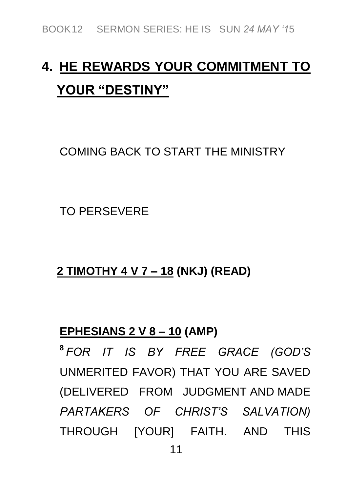# **4. HE REWARDS YOUR COMMITMENT TO YOUR "DESTINY"**

*COMING BACK TO START THE MINISTRY*

*TO PERSEVERE*

**2 TIMOTHY 4 V 7 – 18 (NKJ) (READ)**

#### **EPHESIANS 2 V 8 – 10 (AMP)**

**8** *FOR IT IS BY FREE GRACE (GOD'S UNMERITED FAVOR) THAT YOU ARE SAVED (DELIVERED FROM JUDGMENT AND MADE PARTAKERS OF CHRIST'S SALVATION) THROUGH [YOUR] FAITH. AND THIS*